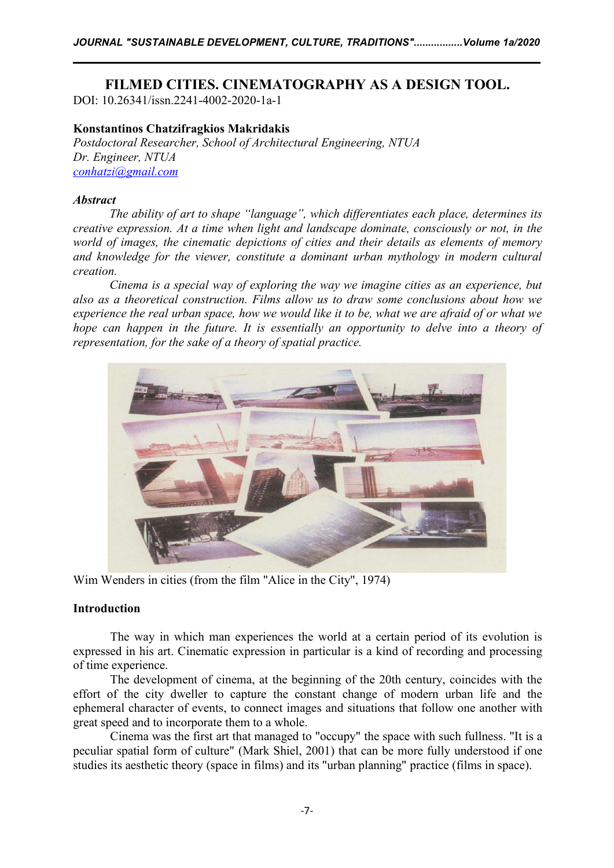# **FILMED CITIES. CINEMATOGRAPHY AS A DESIGN TOOL.**

DOI: 10.26341/issn.2241-4002-2020-1a-1

## **Konstantinos Chatzifragkios Makridakis**

*Postdoctoral Researcher, School of Architectural Engineering, NTUA Dr. Engineer, NTUA [conhatzi@gmail.com](mailto:conhatzi@gmail.com)*

## *Abstract*

*The ability of art to shape "language", which dif erentiates each place, determines its creative expression. At a time when light and landscape dominate, consciously or not, in the world of images, the cinematic depictions of cities and their details as elements of memory and knowledge for the viewer, constitute a dominanturban mythology in modern cultural creation.Cinema is <sup>a</sup> special way of exploring the way we imagine cities as an experience, but*

*also as a theoretical construction. Films allow us to draw some conclusions about how we* experience the real urban space, how we would like it to be, what we are afraid of or what we *hope can happen in the future. It is essentially an opportunity to delve into a theory of representation, for the sake of a theory of spatial practice.*



Wim Wenders in cities (from the film "Alice in the City", 1974)

### **Introduction**

The way in which man experiences the world at a certain period of its evolution is expressed in his art. Cinematic expression in particular is a kind of recording and processing of time experience.

The development of cinema, at the beginning of the 20th century, coincides with the effort of the city dweller to capture the constant change of modern urban life and the ephemeral character of events, to connect images and situations that follow one another with great speed and to incorporate them to a whole.

Cinema was the first art that managed to "occupy" the space with such fullness. "It is a peculiar spatial form of culture" (Mark Shiel, 2001) that can be more fully understood if one studies its aesthetic theory (space in films) and its "urban planning" practice (films in space).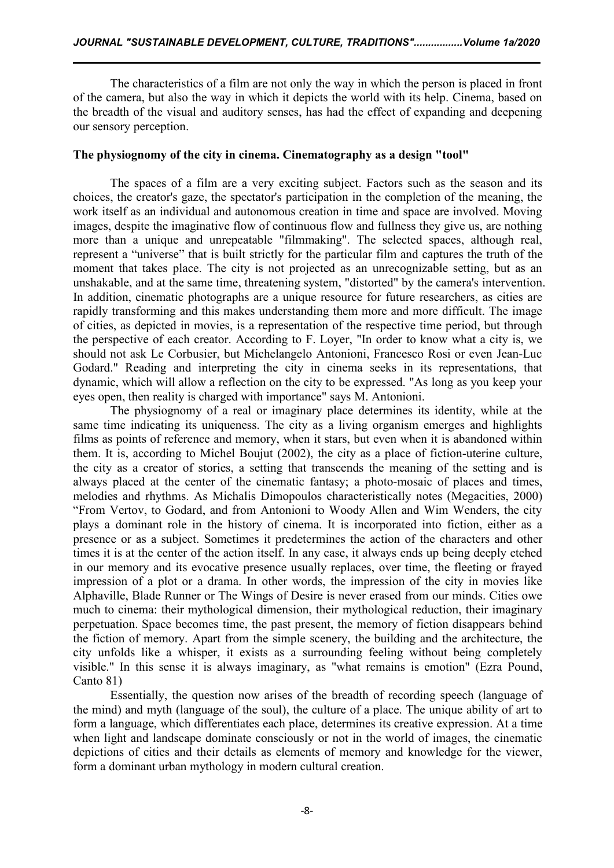The characteristics of a film are not only the way in which the person is placed in front of the camera, but also the way in which it depicts the world with its help. Cinema, based on the breadth of the visual and auditory senses, has had the effect of expanding and deepening our sensory perception.

#### **The physiognomy of the city in cinema. Cinematography as a design "tool"**

The spaces of a film are a very exciting subject. Factors such as the season and its choices, the creator's gaze, the spectator's participation in the completion of the meaning, the work itself as an individual and autonomous creation in time and space are involved. Moving images, despite the imaginative flow of continuous flow and fullness they give us, are nothing more than a unique and unrepeatable "filmmaking". The selected spaces, although real, represent a "universe" that is built strictly for the particular film and captures the truth of the moment that takes place. The city is not projected as an unrecognizable setting, but as an unshakable, and at the same time, threatening system, "distorted" by the camera's intervention. In addition, cinematic photographs are a unique resource for future researchers, as cities are rapidly transforming and this makes understanding them more and more difficult. The image of cities, as depicted in movies, is a representation of the respective time period, but through the perspective of each creator. According to F. Loyer, "In order to know what a city is, we should not ask Le Corbusier, but Michelangelo Antonioni, Francesco Rosi or even Jean-Luc Godard." Reading and interpreting the city in cinema seeks in its representations, that dynamic, which will allow a reflection on the city to be expressed. "As long as you keep your eyes open, then reality is charged with importance" says M. Antonioni.

The physiognomy of a real or imaginary place determines its identity, while at the same time indicating its uniqueness. The city as a living organism emerges and highlights films as points of reference and memory, when it stars, but even when it is abandoned within them. It is, according to Michel Boujut (2002), the city as a place of fiction-uterine culture, the city as a creator of stories, a setting that transcends the meaning of the setting and is always placed at the center of the cinematic fantasy; a photo-mosaic of places and times, melodies and rhythms. As Michalis Dimopoulos characteristically notes (Megacities, 2000) "From Vertov, to Godard, and from Antonioni to Woody Allen and Wim Wenders, the city plays a dominant role in the history of cinema. It is incorporated into fiction, either as a presence or as a subject. Sometimes it predetermines the action of the characters and other times it is at the center of the action itself. In any case, it always ends up being deeply etched in our memory and its evocative presence usually replaces, over time, the fleeting or frayed impression of a plot or a drama. In other words, the impression of the city in movies like Alphaville, Blade Runner or The Wings of Desire is never erased from our minds. Cities owe much to cinema: their mythological dimension, their mythological reduction, their imaginary perpetuation. Space becomes time, the past present, the memory of fiction disappears behind the fiction of memory. Apart from the simple scenery, the building and the architecture, the city unfolds like a whisper, it exists as a surrounding feeling without being completely visible." In this sense it is always imaginary, as "what remains is emotion" (Ezra Pound, Canto 81)

Essentially, the question now arises of the breadth of recording speech (language of the mind) and myth (language of the soul), the culture of a place. The unique ability of art to form a language, which differentiates each place, determines its creative expression. At a time when light and landscape dominate consciously or not in the world of images, the cinematic depictions of cities and their details as elements of memory and knowledge for the viewer, form a dominant urban mythology in modern cultural creation.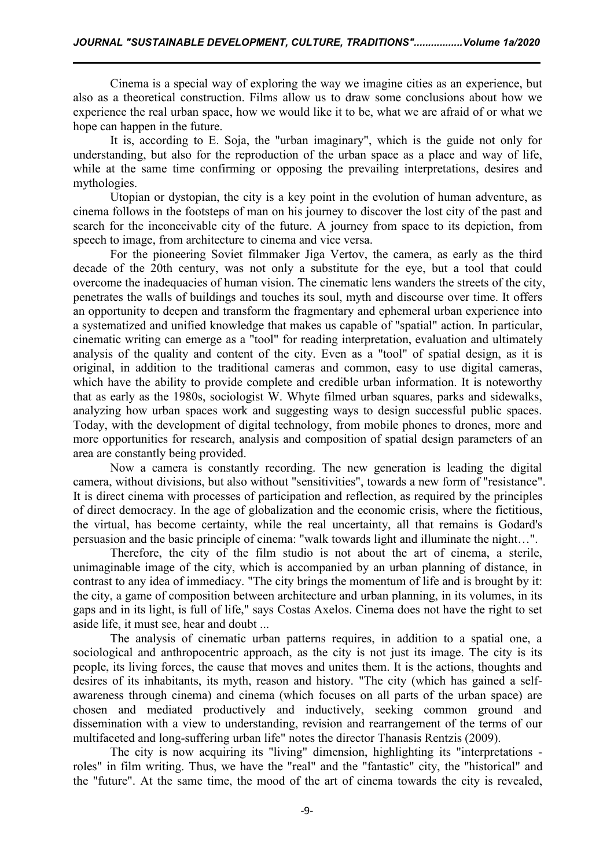Cinema is a special way of exploring the way we imagine cities as an experience, but also as a theoretical construction. Films allow us to draw some conclusions about how we experience the real urban space, how we would like it to be, what we are afraid of or what we hope can happen in the future.

It is, according to E. Soja, the "urban imaginary", which is the guide not only for understanding, but also for the reproduction of the urban space as a place and way of life, while at the same time confirming or opposing the prevailing interpretations, desires and mythologies.

Utopian or dystopian, the city is a key point in the evolution of human adventure, as cinema follows in the footsteps of man on his journey to discover the lost city of the past and search for the inconceivable city of the future. A journey from space to its depiction, from speech to image, from architecture to cinema and vice versa.

For the pioneering Soviet filmmaker Jiga Vertov, the camera, as early as the third decade of the 20th century, was not only a substitute for the eye, but a tool that could overcome the inadequacies of human vision. The cinematic lens wanders the streets of the city, penetrates the walls of buildings and touches its soul, myth and discourse over time. It offers an opportunity to deepen and transform the fragmentary and ephemeral urban experience into a systematized and unified knowledge that makes us capable of "spatial" action. In particular, cinematic writing can emerge as a "tool" for reading interpretation, evaluation and ultimately analysis of the quality and content of the city. Even as a "tool" of spatial design, as it is original, in addition to the traditional cameras and common, easy to use digital cameras, which have the ability to provide complete and credible urban information. It is noteworthy that as early as the 1980s, sociologist W. Whyte filmed urban squares, parks and sidewalks, analyzing how urban spaces work and suggesting ways to design successful public spaces. Today, with the development of digital technology, from mobile phones to drones, more and more opportunities for research, analysis and composition of spatial design parameters of an area are constantly being provided.

Now a camera is constantly recording. The new generation is leading the digital camera, without divisions, but also without "sensitivities", towards a new form of "resistance". It is direct cinema with processes of participation and reflection, as required by the principles of direct democracy. In the age of globalization and the economic crisis, where the fictitious, the virtual, has become certainty, while the real uncertainty, all that remains is Godard's persuasion and the basic principle of cinema: "walk towards light and illuminate the night...".

Therefore, the city of the film studio is not about the art of cinema, a sterile, unimaginable image of the city, which is accompanied by an urban planning of distance, in contrast to any idea of immediacy. "The city brings the momentum of life and is brought by it: the city, a game of composition between architecture and urban planning, in its volumes, in its gaps and in its light, is full of life," says Costas Axelos. Cinema does not have the right to set aside life, it must see, hear and doubt ...

The analysis of cinematic urban patterns requires, in addition to a spatial one, a sociological and anthropocentric approach, as the city is not just its image. The city is its people, its living forces, the cause that moves and unites them. It is the actions, thoughts and desires of its inhabitants, its myth, reason and history. "The city (which has gained a self awareness through cinema) and cinema (which focuses on all parts of the urban space) are chosen and mediated productively and inductively, seeking common ground and dissemination with a view to understanding, revision and rearrangement of the terms of our multifaceted and long-suffering urban life" notes the director Thanasis Rentzis (2009).

The city is now acquiring its "living" dimension, highlighting its "interpretations roles" in film writing. Thus, we have the "real" and the "fantastic" city, the "historical" and the "future". At the same time, the mood of the art of cinema towards the city is revealed,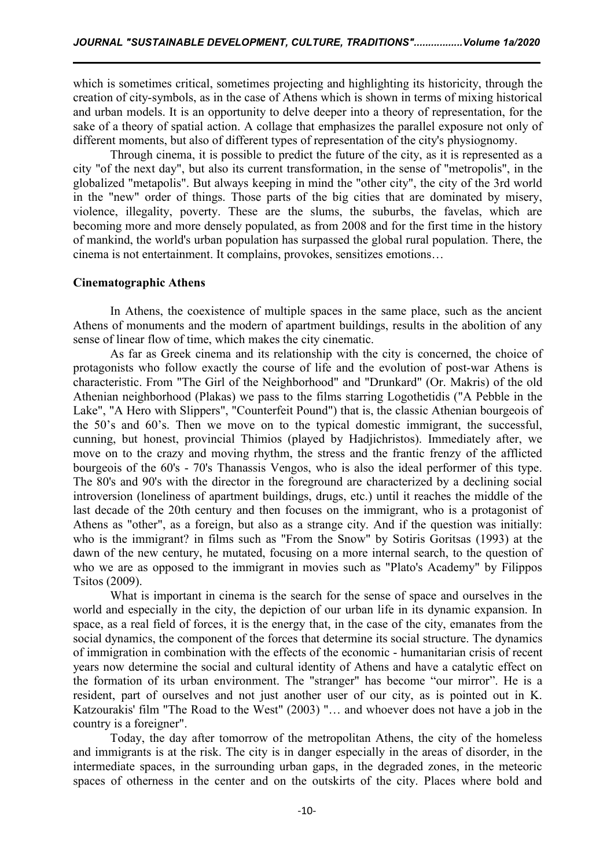which is sometimes critical, sometimes projecting and highlighting its historicity, through the creation of city-symbols, as in the case of Athens which is shown in terms of mixing historical and urban models. It is an opportunity to delve deeper into a theory of representation, for the sake of a theory of spatial action. A collage that emphasizes the parallel exposure not only of different moments, but also of different types of representation of the city's physiognomy.

Through cinema, it is possible to predict the future of the city, as it is represented as a city "of the next day", but also its current transformation, in the sense of "metropolis", in the globalized "metapolis". But always keeping in mind the "other city", the city of the 3rd world in the "new" order of things. Those parts of the big cities that are dominated by misery, violence, illegality, poverty. These are the slums, the suburbs, the favelas, which are becoming more and more densely populated, as from 2008 and for the first time in the history of mankind, the world's urban population has surpassed the globalrural population. There, the cinema is not entertainment. It complains, provokes, sensitizes emotions…

#### **Cinematographic Athens**

In Athens, the coexistence of multiple spaces in the same place, such as the ancient Athens of monuments and the modern of apartment buildings, results in the abolition of any sense of linear flow of time, which makes the city cinematic.

As far as Greek cinema and its relationship with the city is concerned, the choice of protagonists who follow exactly the course of life and the evolution of post-war Athens is characteristic. From "The Girl of the Neighborhood" and "Drunkard" (Or. Makris) of the old Athenian neighborhood (Plakas) we pass to the films starring Logothetidis ("A Pebble in the Lake", "A Hero with Slippers", "Counterfeit Pound") that is, the classic Athenian bourgeois of the  $50$ 's and  $60$ 's. Then we move on to the typical domestic immigrant, the successful, cunning, but honest, provincial Thimios (played by Hadjichristos). Immediately after, we move on to the crazy and moving rhythm, the stress and the frantic frenzy of the afflicted bourgeois of the 60's - 70's Thanassis Vengos, who is also the ideal performer of this type. The 80's and 90's with the director in the foreground are characterized by a declining social introversion (loneliness of apartment buildings, drugs, etc.) until it reaches the middle of the last decade of the 20th century and then focuses on the immigrant, who is a protagonist of Athens as "other", as a foreign, but also as a strange city. And if the question was initially: who is the immigrant? in films such as "From the Snow" by Sotiris Goritsas (1993) at the dawn of the new century, he mutated, focusing on a more internal search, to the question of who we are as opposed to the immigrant in movies such as "Plato's Academy" by Filippos Tsitos (2009).

What is important in cinema is the search for the sense of space and ourselves in the world and especially in the city, the depiction of our urban life in its dynamic expansion. In space, as a real field of forces, it is the energy that, in the case of the city, emanates from the social dynamics, the component of the forces that determine its social structure. The dynamics of immigration in combination with the effects of the economic - humanitarian crisis of recent years now determine the social and cultural identity of Athens and have a catalytic effect on the formation of its urban environment. The "stranger" has become "our mirror". He is a resident, part of ourselves and not just another user of our city, as is pointed out in K. Katzourakis' film "The Road to the West" (2003) "… and whoever does not have a job in the country is a foreigner".

Today, the day after tomorrow of the metropolitan Athens, the city of the homeless and immigrants is at the risk. The city is in danger especially in the areas of disorder, in the intermediate spaces, in the surrounding urban gaps, in the degraded zones, in the meteoric spaces of otherness in the center and on the outskirts of the city. Places where bold and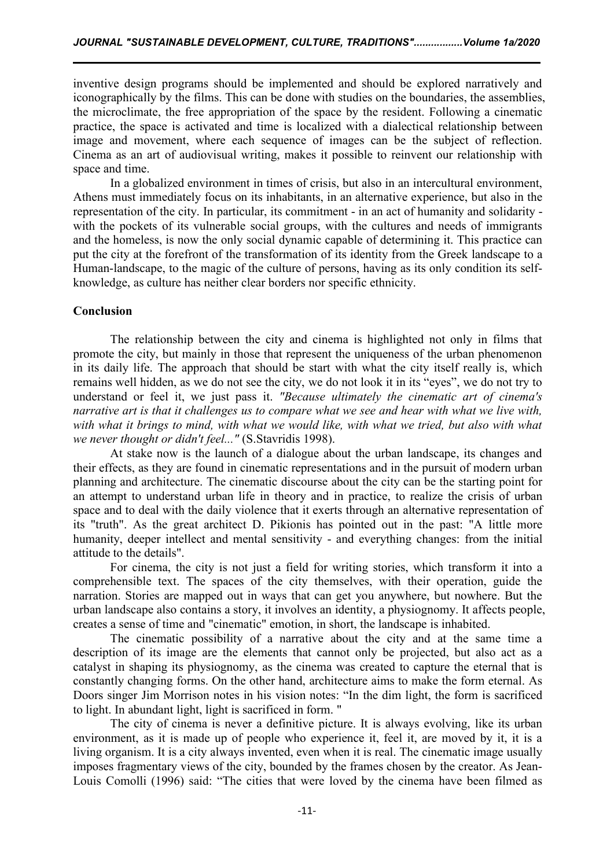inventive design programs should be implemented and should be explored narratively and iconographically by the films. This can be done with studies on the boundaries, the assemblies, the microclimate, the free appropriation of the space by the resident. Following a cinematic practice, the space is activated and time is localized with a dialectical relationship between image and movement, where each sequence of images can be the subject of reflection. Cinema as an art of audiovisual writing, makes it possible to reinvent our relationship with space and time.

In a globalized environment in times of crisis, but also in an intercultural environment, Athens must immediately focus on its inhabitants, in an alternative experience, but also in the representation of the city. In particular, its commitment - in an act of humanity and solidarity with the pockets of its vulnerable social groups, with the cultures and needs of immigrants and the homeless, is now the only social dynamic capable of determining it. This practice can put the city at the forefront of the transformation of its identity from the Greek landscape to a Human-landscape, to the magic of the culture of persons, having as its only condition its self knowledge, as culture has neither clear borders nor specific ethnicity.

#### **Conclusion**

The relationship between the city and cinema is highlighted not only in films that promote the city, but mainly in those that represent the uniqueness of the urban phenomenon in its daily life. The approach that should be start with what the city itself really is, which remains well hidden, as we do not see the city, we do not look it in its "eyes", we do not try to understand or feel it, we just pass it. *"Because ultimately the cinematic art of cinema's narrative art is that it challenges us to compare what we see and hearwith what we live with,* with what it brings to mind, with what we would like, with what we tried, but also with what *we never thought or didn't feel..."* (S.Stavridis 1998).

At stake now is the launch of a dialogue about the urban landscape, its changes and their effects, as they are found in cinematic representations and in the pursuit of modern urban planning and architecture. The cinematic discourse about the city can be the starting point for an attempt to understand urban life in theory and in practice, to realize the crisis of urban space and to deal with the daily violence that it exerts through an alternative representation of its "truth". As the great architect D. Pikionis has pointed out in the past: "A little more humanity, deeper intellect and mental sensitivity - and everything changes: from the initial attitude to the details".

For cinema, the city is not just a field for writing stories, which transform it into a comprehensible text. The spaces of the city themselves, with their operation, guide the narration. Stories are mapped out in ways that can get you anywhere, but nowhere. But the urban landscape also contains a story, it involves an identity, a physiognomy. It affects people, creates a sense of time and "cinematic" emotion, in short, the landscape is inhabited.

The cinematic possibility of a narrative about the city and at the same time a description of its image are the elements that cannot only be projected, but also act as a catalyst in shaping its physiognomy, as the cinema was created to capture the eternal that is constantly changing forms. On the other hand, architecture aims to make the form eternal. As Doors singer Jim Morrison notes in his vision notes: "In the dim light, the form is sacrificed to light. In abundant light, light is sacrificed in form. "

The city of cinema is never a definitive picture. It is always evolving, like its urban environment, as it is made up of people who experience it, feel it, are moved by it, it is a living organism. It is a city always invented, even when it is real. The cinematic image usually imposes fragmentary views of the city, bounded by the frames chosen by the creator. As Jean-Louis Comolli (1996) said: "The cities that were loved by the cinema have been filmed as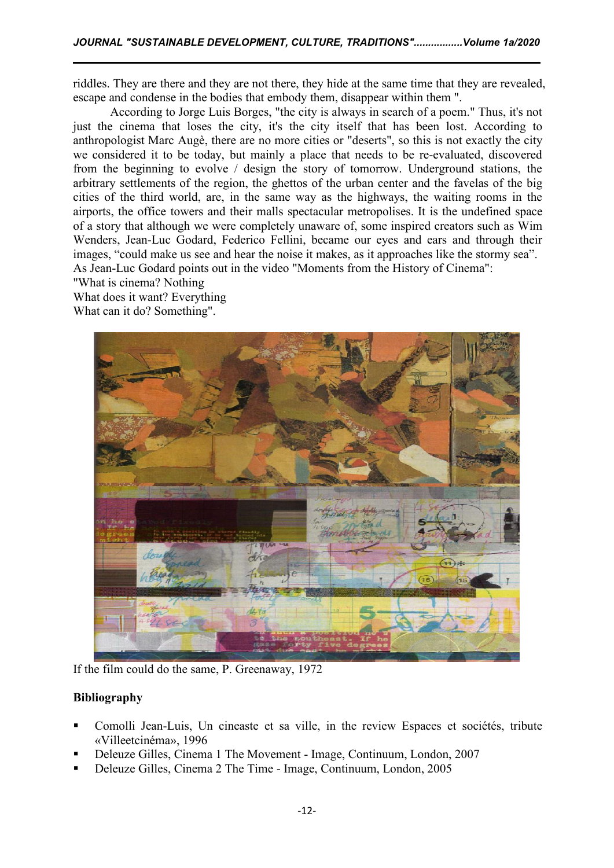riddles. They are there and they are not there, they hide at the same time that they are revealed, escape and condense in the bodies that embody them, disappear within them ".

According to Jorge Luis Borges, "the city is always in search of a poem." Thus, it's not just the cinema that loses the city, it's the city itself that has been lost. According to anthropologist Marc Augè, there are no more cities or "deserts", so this is notexactly the city we considered it to be today, but mainly a place that needs to be re-evaluated, discovered from the beginning to evolve / design the story of tomorrow. Underground stations, the arbitrary settlements of the region, the ghettos of the urban center and the favelas of the big cities of the third world, are, in the same way as the highways, the waiting rooms in the airports, the office towers and their malls spectacular metropolises. It is the undefined space of a story that although we were completely unaware of, some inspired creators such as Wim Wenders, Jean-Luc Godard, Federico Fellini, became our eyes and ears and through their images, "could make us see and hear the noise it makes, as it approaches like the stormy sea". As Jean-Luc Godard points out in the video "Moments from the History of Cinema":

"What is cinema? Nothing

What does it want? Everything What can it do? Something".



If the film could do the same, P. Greenaway, 1972

# **Bibliography**

- Comolli Jean-Luis, Un cineaste et sa ville, in the review Espaces et sociétés, tribute «Villeetcinéma», 1996
- Deleuze Gilles, Cinema 1 The Movement Image, Continuum, London, 2007
- Deleuze Gilles, Cinema 2 The Time Image, Continuum, London, 2005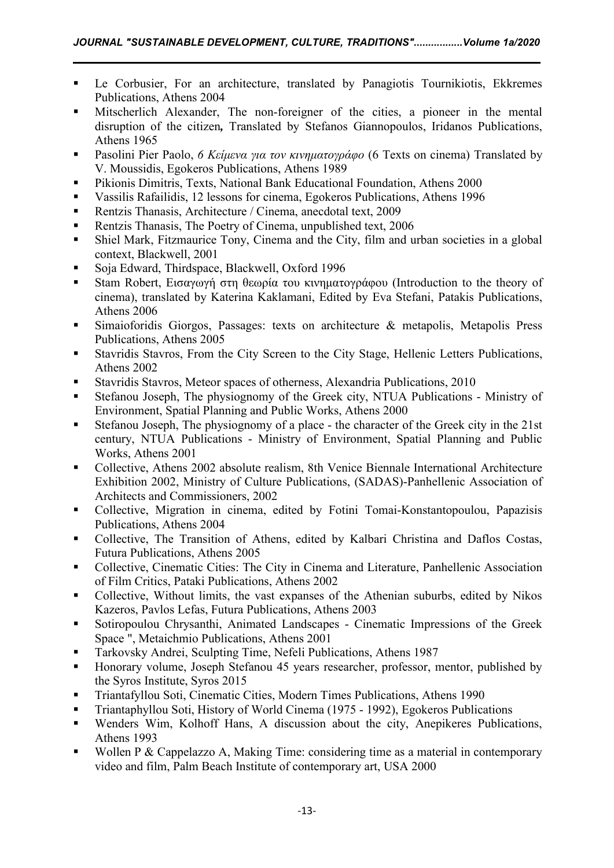- Le Corbusier, For an architecture, translated by Panagiotis Tournikiotis, Ekkremes Publications, Athens 2004
- Mitscherlich Alexander, The non-foreigner of the cities, a pioneer in the mental disruption of the citizen*,* Translated by Stefanos Giannopoulos, Iridanos Publications, Athens 1965
- Pasolini Pier Paolo, *6 Κείμενα για τον κινηματογράφο* (6 Texts on cinema) Translated by V. Moussidis, Egokeros Publications, Athens 1989
- **Pikionis Dimitris, Texts, National Bank Educational Foundation, Athens 2000**
- Vassilis Rafailidis, 12 lessons for cinema, Egokeros Publications, Athens 1996
- Rentzis Thanasis, Architecture / Cinema, anecdotal text, 2009
- Rentzis Thanasis, The Poetry of Cinema, unpublished text, 2006
- Shiel Mark, Fitzmaurice Tony, Cinema and the City, film and urban societies in a global context, Blackwell, 2001
- Soja Edward, Thirdspace, Blackwell, Oxford 1996
- Stam Robert, Εισαγωγή στη θεωρία του κινηματογράφου (Introduction to the theory of cinema), translated by Katerina Kaklamani, Edited by Eva Stefani, Patakis Publications, Athens 2006
- Simaioforidis Giorgos, Passages: texts on architecture & metapolis, Metapolis Press Publications, Athens 2005
- Stavridis Stavros, From the City Screen to the City Stage, Hellenic Letters Publications, Athens 2002
- Stavridis Stavros, Meteor spaces of otherness, Alexandria Publications, 2010
- Stefanou Joseph, The physiognomy of the Greek city, NTUA Publications Ministry of Environment, Spatial Planning and Public Works, Athens 2000
- Stefanou Joseph, The physiognomy of a place the character of the Greek city in the 21st century, NTUA Publications - Ministry of Environment, Spatial Planning and Public Works, Athens 2001
- Collective, Athens 2002 absolute realism, 8th Venice Biennale International Architecture Exhibition 2002, Ministry of Culture Publications, (SADAS)-Panhellenic Association of Architects and Commissioners, 2002
- Collective, Migration in cinema, edited by Fotini Tomai-Konstantopoulou, Papazisis Publications, Athens 2004
- Collective, The Transition of Athens, edited by Kalbari Christina and Daflos Costas, Futura Publications, Athens 2005
- Collective, Cinematic Cities: The City in Cinema and Literature, Panhellenic Association of Film Critics, Pataki Publications, Athens 2002
- Collective, Without limits, the vast expanses of the Athenian suburbs, edited by Nikos Kazeros, Pavlos Lefas, Futura Publications, Athens 2003
- Sotiropoulou Chrysanthi, Animated Landscapes Cinematic Impressions of the Greek Space ", Metaichmio Publications, Athens 2001
- Tarkovsky Andrei, Sculpting Time, Nefeli Publications, Athens 1987
- **Honorary volume, Joseph Stefanou 45 years researcher, professor, mentor, published by** the Syros Institute, Syros 2015
- Triantafyllou Soti, Cinematic Cities, Modern Times Publications, Athens 1990
- Triantaphyllou Soti, History of World Cinema (1975 1992), Egokeros Publications
- Wenders Wim, Kolhoff Hans, A discussion about the city, Anepikeres Publications, Athens 1993
- Wollen P & Cappelazzo A, Making Time: considering time as a material in contemporary video and film, Palm Beach Institute of contemporary art, USA 2000